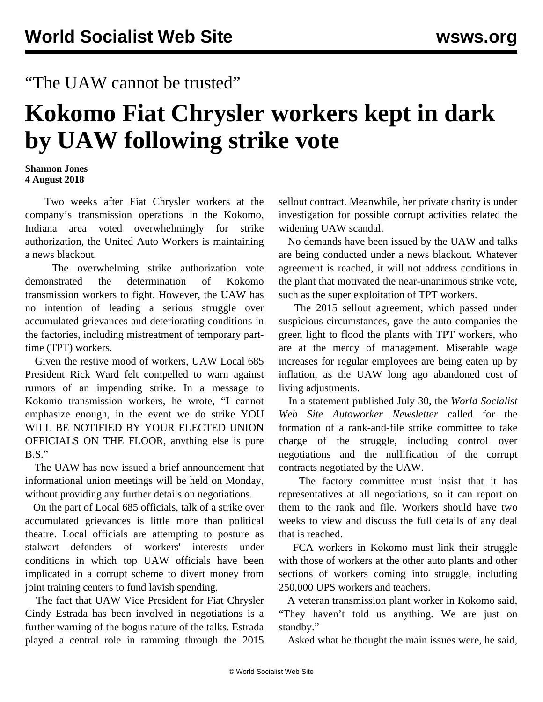## "The UAW cannot be trusted"

## **Kokomo Fiat Chrysler workers kept in dark by UAW following strike vote**

## **Shannon Jones 4 August 2018**

 Two weeks after Fiat Chrysler workers at the company's transmission operations in the Kokomo, Indiana area voted overwhelmingly for strike authorization, the United Auto Workers is maintaining a news blackout.

 The overwhelming strike authorization vote demonstrated the determination of Kokomo transmission workers to fight. However, the UAW has no intention of leading a serious struggle over accumulated grievances and deteriorating conditions in the factories, including mistreatment of temporary parttime (TPT) workers.

 Given the restive mood of workers, UAW Local 685 President Rick Ward felt compelled to warn against rumors of an impending strike. In a message to Kokomo transmission workers, he wrote, "I cannot emphasize enough, in the event we do strike YOU WILL BE NOTIFIED BY YOUR ELECTED UNION OFFICIALS ON THE FLOOR, anything else is pure B.S."

 The UAW has now issued a brief announcement that informational union meetings will be held on Monday, without providing any further details on negotiations.

 On the part of Local 685 officials, talk of a strike over accumulated grievances is little more than political theatre. Local officials are attempting to posture as stalwart defenders of workers' interests under conditions in which top UAW officials have been implicated in a corrupt scheme to divert money from joint training centers to fund lavish spending.

 The fact that UAW Vice President for Fiat Chrysler Cindy Estrada has been involved in negotiations is a further warning of the bogus nature of the talks. Estrada played a central role in ramming through the 2015 sellout contract. Meanwhile, her private charity is under investigation for possible corrupt activities related the widening UAW scandal.

 No demands have been issued by the UAW and talks are being conducted under a news blackout. Whatever agreement is reached, it will not address conditions in the plant that motivated the near-unanimous strike vote, such as the super exploitation of TPT workers.

 The 2015 sellout agreement, which passed under suspicious circumstances, gave the auto companies the green light to flood the plants with TPT workers, who are at the mercy of management. Miserable wage increases for regular employees are being eaten up by inflation, as the UAW long ago abandoned cost of living adjustments.

 In a statement published July 30, the *World Socialist Web Site Autoworker Newsletter* called for the formation of a rank-and-file strike committee to take charge of the struggle, including control over negotiations and the nullification of the corrupt contracts negotiated by the UAW.

 The factory committee must insist that it has representatives at all negotiations, so it can report on them to the rank and file. Workers should have two weeks to view and discuss the full details of any deal that is reached.

 FCA workers in Kokomo must link their struggle with those of workers at the other auto plants and other sections of workers coming into struggle, including 250,000 UPS workers and teachers.

 A veteran transmission plant worker in Kokomo said, "They haven't told us anything. We are just on standby."

Asked what he thought the main issues were, he said,